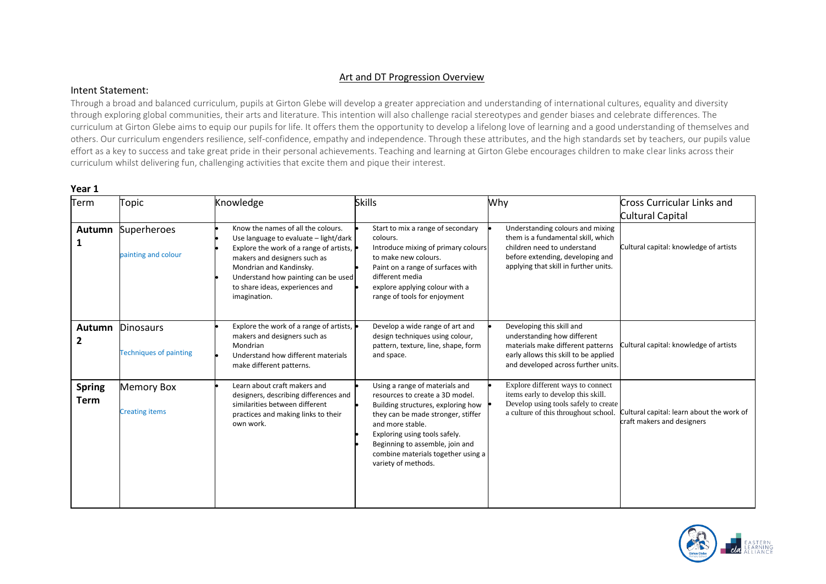### Art and DT Progression Overview

#### Intent Statement:

Through a broad and balanced curriculum, pupils at Girton Glebe will develop a greater appreciation and understanding of international cultures, equality and diversity through exploring global communities, their arts and literature. This intention will also challenge racial stereotypes and gender biases and celebrate differences. The curriculum at Girton Glebe aims to equip our pupils for life. It offers them the opportunity to develop a lifelong love of learning and a good understanding of themselves and others. Our curriculum engenders resilience, self-confidence, empathy and independence. Through these attributes, and the high standards set by teachers, our pupils value effort as a key to success and take great pride in their personal achievements. Teaching and learning at Girton Glebe encourages children to make clear links across their curriculum whilst delivering fun, challenging activities that excite them and pique their interest.

| Term                            | Topic                                             | Knowledge                                                                                                                                                                                                                                                                   | <b>Skills</b>                                                                                                                                                                                                                                                                                      | Why                                                                                                                                                                                | <b>Cross Curricular Links and</b><br><b>Cultural Capital</b>            |
|---------------------------------|---------------------------------------------------|-----------------------------------------------------------------------------------------------------------------------------------------------------------------------------------------------------------------------------------------------------------------------------|----------------------------------------------------------------------------------------------------------------------------------------------------------------------------------------------------------------------------------------------------------------------------------------------------|------------------------------------------------------------------------------------------------------------------------------------------------------------------------------------|-------------------------------------------------------------------------|
| Autumn                          | Superheroes<br>painting and colour                | Know the names of all the colours.<br>Use language to evaluate - light/dark<br>Explore the work of a range of artists,<br>makers and designers such as<br>Mondrian and Kandinsky.<br>Understand how painting can be used<br>to share ideas, experiences and<br>imagination. | Start to mix a range of secondary<br>colours.<br>Introduce mixing of primary colours<br>to make new colours.<br>Paint on a range of surfaces with<br>different media<br>explore applying colour with a<br>range of tools for enjoyment                                                             | Understanding colours and mixing<br>them is a fundamental skill, which<br>children need to understand<br>before extending, developing and<br>applying that skill in further units. | Cultural capital: knowledge of artists                                  |
| <b>Autumn</b><br>$\overline{2}$ | <b>Dinosaurs</b><br><b>Techniques of painting</b> | Explore the work of a range of artists,<br>makers and designers such as<br>Mondrian<br>Understand how different materials<br>make different patterns.                                                                                                                       | Develop a wide range of art and<br>design techniques using colour,<br>pattern, texture, line, shape, form<br>and space.                                                                                                                                                                            | Developing this skill and<br>understanding how different<br>materials make different patterns<br>early allows this skill to be applied<br>and developed across further units.      | Cultural capital: knowledge of artists                                  |
| <b>Spring</b><br><b>Term</b>    | <b>Memory Box</b><br><b>Creating items</b>        | Learn about craft makers and<br>designers, describing differences and<br>similarities between different<br>practices and making links to their<br>own work.                                                                                                                 | Using a range of materials and<br>resources to create a 3D model.<br>Building structures, exploring how<br>they can be made stronger, stiffer<br>and more stable.<br>Exploring using tools safely.<br>Beginning to assemble, join and<br>combine materials together using a<br>variety of methods. | Explore different ways to connect<br>items early to develop this skill.<br>Develop using tools safely to create<br>a culture of this throughout school.                            | Cultural capital: learn about the work of<br>craft makers and designers |

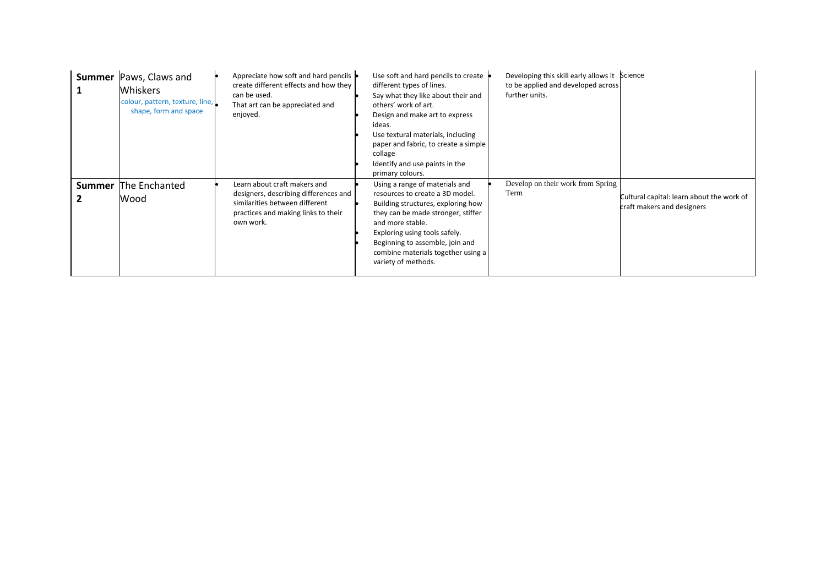| <b>Summer</b> | Paws, Claws and<br><b>Whiskers</b><br>colour, pattern, texture, line,<br>shape, form and space | Appreciate how soft and hard pencils<br>create different effects and how they<br>can be used.<br>That art can be appreciated and<br>enjoyed.                | Use soft and hard pencils to create<br>different types of lines.<br>Say what they like about their and<br>others' work of art.<br>Design and make art to express<br>ideas.<br>Use textural materials, including<br>paper and fabric, to create a simple<br>collage<br>Identify and use paints in the<br>primary colours. | Developing this skill early allows it Science<br>to be applied and developed across<br>further units. |                                                                         |
|---------------|------------------------------------------------------------------------------------------------|-------------------------------------------------------------------------------------------------------------------------------------------------------------|--------------------------------------------------------------------------------------------------------------------------------------------------------------------------------------------------------------------------------------------------------------------------------------------------------------------------|-------------------------------------------------------------------------------------------------------|-------------------------------------------------------------------------|
| <b>Summer</b> | The Enchanted<br>Wood                                                                          | Learn about craft makers and<br>designers, describing differences and<br>similarities between different<br>practices and making links to their<br>own work. | Using a range of materials and<br>resources to create a 3D model.<br>Building structures, exploring how<br>they can be made stronger, stiffer<br>and more stable.<br>Exploring using tools safely.<br>Beginning to assemble, join and<br>combine materials together using a<br>variety of methods.                       | Develop on their work from Spring<br>Term                                                             | Cultural capital: learn about the work of<br>craft makers and designers |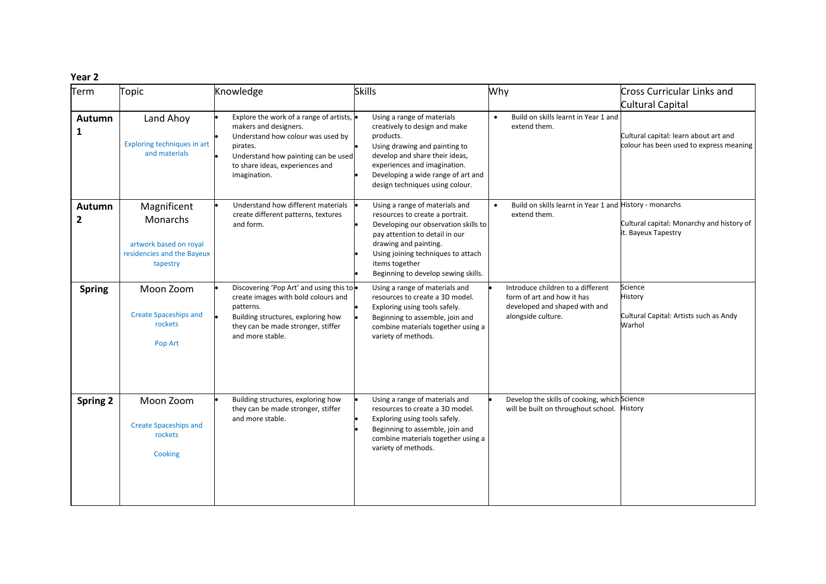| Term                   | Topic                                                                                       | Knowledge                                                                                                                                                                                                   | <b>Skills</b>                                                                                                                                                                                                                                                       | Why                                                                                                                    | Cross Curricular Links and<br>Cultural Capital                                   |
|------------------------|---------------------------------------------------------------------------------------------|-------------------------------------------------------------------------------------------------------------------------------------------------------------------------------------------------------------|---------------------------------------------------------------------------------------------------------------------------------------------------------------------------------------------------------------------------------------------------------------------|------------------------------------------------------------------------------------------------------------------------|----------------------------------------------------------------------------------|
| Autumn<br>1            | Land Ahoy<br>Exploring techniques in art<br>and materials                                   | Explore the work of a range of artists,<br>makers and designers.<br>Understand how colour was used by<br>pirates.<br>Understand how painting can be used<br>to share ideas, experiences and<br>imagination. | Using a range of materials<br>creatively to design and make<br>products.<br>Using drawing and painting to<br>develop and share their ideas,<br>experiences and imagination.<br>Developing a wide range of art and<br>design techniques using colour.                | Build on skills learnt in Year 1 and<br>$\bullet$<br>extend them.                                                      | Cultural capital: learn about art and<br>colour has been used to express meaning |
| Autumn<br>$\mathbf{2}$ | Magnificent<br>Monarchs<br>artwork based on royal<br>residencies and the Bayeux<br>tapestry | Understand how different materials<br>create different patterns, textures<br>and form.                                                                                                                      | Using a range of materials and<br>resources to create a portrait.<br>Developing our observation skills to<br>pay attention to detail in our<br>drawing and painting.<br>Using joining techniques to attach<br>items together<br>Beginning to develop sewing skills. | Build on skills learnt in Year 1 and History - monarchs<br>$\bullet$<br>extend them.                                   | Cultural capital: Monarchy and history of<br>it. Bayeux Tapestry                 |
| <b>Spring</b>          | Moon Zoom<br><b>Create Spaceships and</b><br>rockets<br>Pop Art                             | Discovering 'Pop Art' and using this to .<br>create images with bold colours and<br>patterns.<br>Building structures, exploring how<br>they can be made stronger, stiffer<br>and more stable.               | Using a range of materials and<br>resources to create a 3D model.<br>Exploring using tools safely.<br>Beginning to assemble, join and<br>combine materials together using a<br>variety of methods.                                                                  | Introduce children to a different<br>form of art and how it has<br>developed and shaped with and<br>alongside culture. | Science<br>History<br>Cultural Capital: Artists such as Andy<br>Warhol           |
| <b>Spring 2</b>        | Moon Zoom<br><b>Create Spaceships and</b><br>rockets<br>Cooking                             | Building structures, exploring how<br>they can be made stronger, stiffer<br>and more stable.                                                                                                                | Using a range of materials and<br>resources to create a 3D model.<br>Exploring using tools safely.<br>Beginning to assemble, join and<br>combine materials together using a<br>variety of methods.                                                                  | Develop the skills of cooking, which Science<br>will be built on throughout school. History                            |                                                                                  |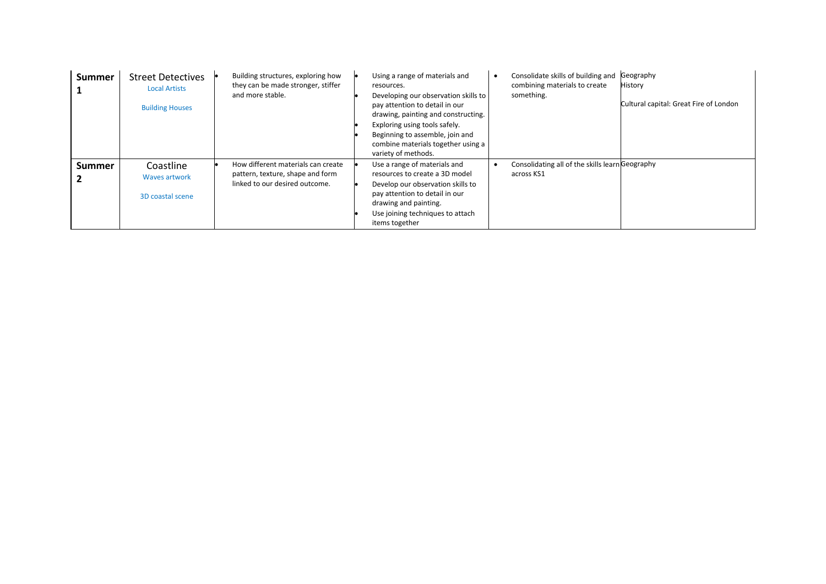| <b>Summer</b> | <b>Street Detectives</b><br><b>Local Artists</b><br><b>Building Houses</b> | Building structures, exploring how<br>they can be made stronger, stiffer<br>and more stable.             | Consolidate skills of building and<br>Geography<br>Using a range of materials and<br>$\bullet$<br>combining materials to create<br>History<br>resources.<br>something.<br>Developing our observation skills to<br>pay attention to detail in our<br>drawing, painting and constructing.<br>Exploring using tools safely.<br>Beginning to assemble, join and<br>combine materials together using a<br>variety of methods. | Cultural capital: Great Fire of London |
|---------------|----------------------------------------------------------------------------|----------------------------------------------------------------------------------------------------------|--------------------------------------------------------------------------------------------------------------------------------------------------------------------------------------------------------------------------------------------------------------------------------------------------------------------------------------------------------------------------------------------------------------------------|----------------------------------------|
| <b>Summer</b> | Coastline<br><b>Waves artwork</b><br>3D coastal scene                      | How different materials can create<br>pattern, texture, shape and form<br>linked to our desired outcome. | Consolidating all of the skills learn Geography<br>Use a range of materials and<br>$\bullet$<br>resources to create a 3D model<br>across KS1<br>Develop our observation skills to<br>pay attention to detail in our<br>drawing and painting.<br>Use joining techniques to attach<br>items together                                                                                                                       |                                        |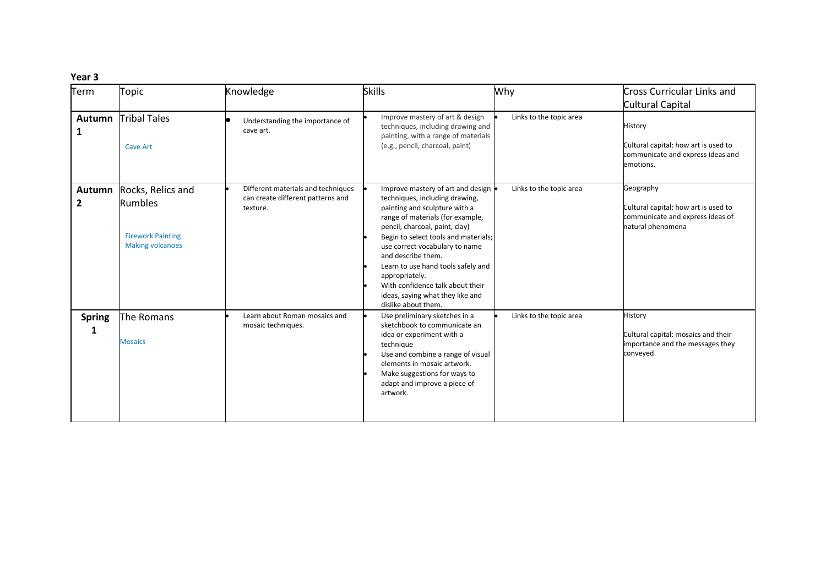| Term                   | Topic                                                                                      | Knowledge                                                                           | <b>Skills</b>                                                                                                                                                                                                                                                                                                                                                                                                                     | Why                     | <b>Cross Curricular Links and</b>                                                                          |
|------------------------|--------------------------------------------------------------------------------------------|-------------------------------------------------------------------------------------|-----------------------------------------------------------------------------------------------------------------------------------------------------------------------------------------------------------------------------------------------------------------------------------------------------------------------------------------------------------------------------------------------------------------------------------|-------------------------|------------------------------------------------------------------------------------------------------------|
|                        |                                                                                            |                                                                                     |                                                                                                                                                                                                                                                                                                                                                                                                                                   |                         | Cultural Capital                                                                                           |
| <b>Autumn</b><br>1     | <b>Tribal Tales</b><br><b>Cave Art</b>                                                     | Understanding the importance of<br>cave art.                                        | Improve mastery of art & design<br>techniques, including drawing and<br>painting, with a range of materials<br>(e.g., pencil, charcoal, paint)                                                                                                                                                                                                                                                                                    | Links to the topic area | History<br>Cultural capital: how art is used to<br>communicate and express ideas and<br>emotions.          |
| Autumn<br>$\mathbf{2}$ | Rocks, Relics and<br><b>Rumbles</b><br><b>Firework Painting</b><br><b>Making volcanoes</b> | Different materials and techniques<br>can create different patterns and<br>texture. | Improve mastery of art and design<br>techniques, including drawing,<br>painting and sculpture with a<br>range of materials (for example,<br>pencil, charcoal, paint, clay)<br>Begin to select tools and materials;<br>use correct vocabulary to name<br>and describe them.<br>Learn to use hand tools safely and<br>appropriately.<br>With confidence talk about their<br>ideas, saying what they like and<br>dislike about them. | Links to the topic area | Geography<br>Cultural capital: how art is used to<br>communicate and express ideas of<br>natural phenomena |
| <b>Spring</b><br>1     | The Romans<br><b>Mosaics</b>                                                               | Learn about Roman mosaics and<br>mosaic techniques.                                 | Use preliminary sketches in a<br>sketchbook to communicate an<br>idea or experiment with a<br>technique<br>Use and combine a range of visual<br>elements in mosaic artwork.<br>Make suggestions for ways to<br>adapt and improve a piece of<br>artwork.                                                                                                                                                                           | Links to the topic area | History<br>Cultural capital: mosaics and their<br>importance and the messages they<br>conveyed             |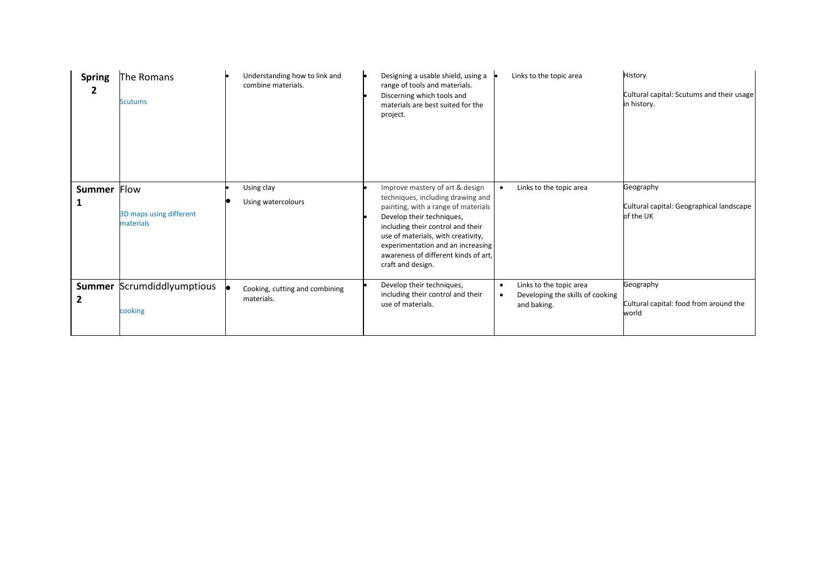| <b>Spring</b><br>2            | The Romans<br><b>Scutums</b>                 | Understanding how to link and<br>combine materials. | Designing a usable shield, using a<br>range of tools and materials.<br>Discerning which tools and<br>materials are best suited for the<br>project.                                                                                                                                                                    | Links to the topic area                                                    | History<br>Cultural capital: Scutums and their usage<br>in history. |
|-------------------------------|----------------------------------------------|-----------------------------------------------------|-----------------------------------------------------------------------------------------------------------------------------------------------------------------------------------------------------------------------------------------------------------------------------------------------------------------------|----------------------------------------------------------------------------|---------------------------------------------------------------------|
| <b>Summer</b><br>1            | Flow<br>3D maps using different<br>materials | Using clay<br>Using watercolours                    | Improve mastery of art & design<br>techniques, including drawing and<br>painting, with a range of materials<br>Develop their techniques,<br>including their control and their<br>use of materials, with creativity,<br>experimentation and an increasing<br>awareness of different kinds of art,<br>craft and design. | Links to the topic area                                                    | Geography<br>Cultural capital: Geographical landscape<br>of the UK  |
| <b>Summer</b><br>$\mathbf{2}$ | Scrumdiddlyumptious<br>cooking               | Cooking, cutting and combining<br>materials.        | Develop their techniques,<br>including their control and their<br>use of materials.                                                                                                                                                                                                                                   | Links to the topic area<br>Developing the skills of cooking<br>and baking. | Geography<br>Cultural capital: food from around the<br>world        |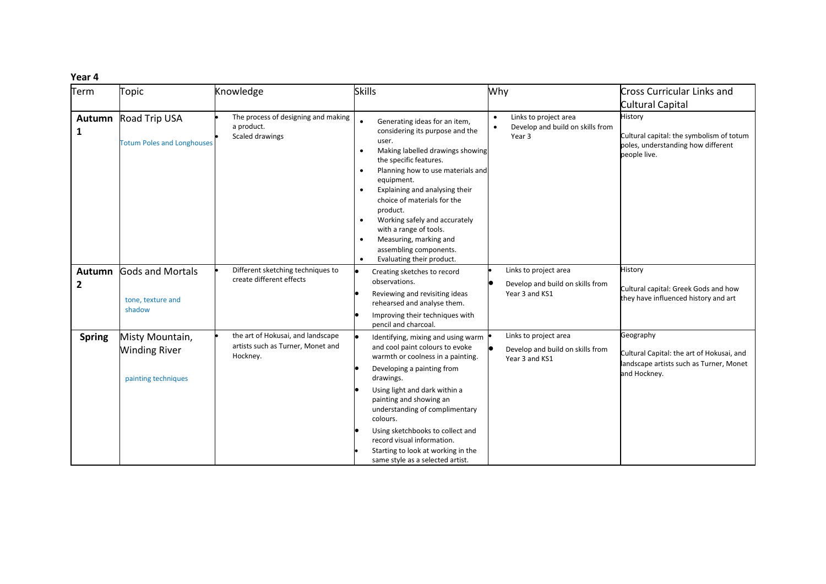| Term          | Topic                                                          | Knowledge                                                                          | <b>Skills</b>                                                                                                                                                                                                                                                                                                                                                                                                                                                           | Why                                                                                           | <b>Cross Curricular Links and</b><br>Cultural Capital                                                             |
|---------------|----------------------------------------------------------------|------------------------------------------------------------------------------------|-------------------------------------------------------------------------------------------------------------------------------------------------------------------------------------------------------------------------------------------------------------------------------------------------------------------------------------------------------------------------------------------------------------------------------------------------------------------------|-----------------------------------------------------------------------------------------------|-------------------------------------------------------------------------------------------------------------------|
| Autumn<br>1   | Road Trip USA<br><b>Totum Poles and Longhouses</b>             | The process of designing and making<br>a product.<br>Scaled drawings               | Generating ideas for an item,<br>considering its purpose and the<br>user.<br>Making labelled drawings showing<br>$\bullet$<br>the specific features.<br>Planning how to use materials and<br>equipment.<br>Explaining and analysing their<br>$\bullet$<br>choice of materials for the<br>product.<br>Working safely and accurately<br>with a range of tools.<br>Measuring, marking and<br>$\bullet$<br>assembling components.<br>Evaluating their product.<br>$\bullet$ | Links to project area<br>$\bullet$<br>Develop and build on skills from<br>$\bullet$<br>Year 3 | History<br>Cultural capital: the symbolism of totum<br>poles, understanding how different<br>people live.         |
| Autumn<br>2   | <b>Gods and Mortals</b><br>tone, texture and<br>shadow         | Different sketching techniques to<br>create different effects                      | Creating sketches to record<br>observations.<br>Reviewing and revisiting ideas<br>rehearsed and analyse them.<br>Improving their techniques with<br>pencil and charcoal.                                                                                                                                                                                                                                                                                                | Links to project area<br>Develop and build on skills from<br>Year 3 and KS1                   | History<br>Cultural capital: Greek Gods and how<br>they have influenced history and art                           |
| <b>Spring</b> | Misty Mountain,<br><b>Winding River</b><br>painting techniques | the art of Hokusai, and landscape<br>artists such as Turner, Monet and<br>Hockney. | Identifying, mixing and using warm<br>and cool paint colours to evoke<br>warmth or coolness in a painting.<br>Developing a painting from<br>drawings.<br>Using light and dark within a<br>painting and showing an<br>understanding of complimentary<br>colours.<br>Using sketchbooks to collect and<br>record visual information.<br>Starting to look at working in the<br>same style as a selected artist.                                                             | Links to project area<br>Develop and build on skills from<br>Year 3 and KS1                   | Geography<br>Cultural Capital: the art of Hokusai, and<br>landscape artists such as Turner, Monet<br>and Hockney. |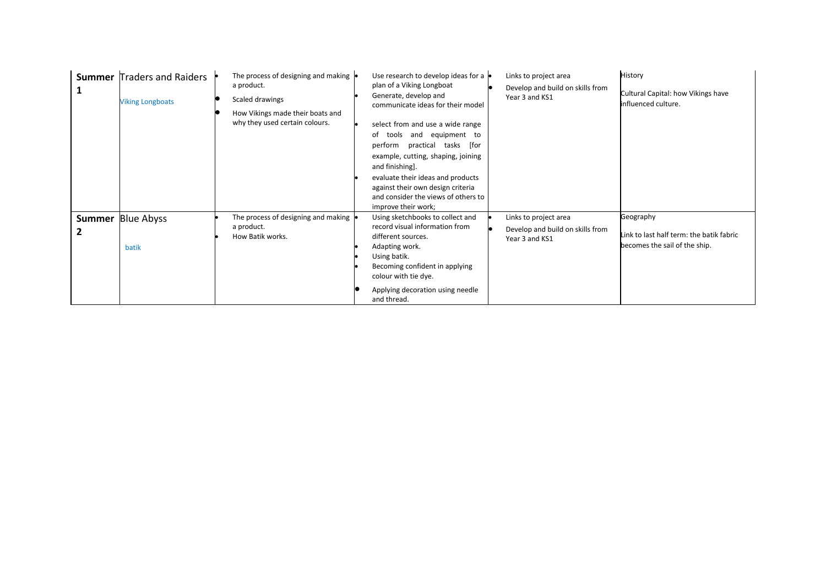| <b>Summer</b><br>1 | <b>Traders and Raiders</b><br><b>Viking Longboats</b> | The process of designing and making $\vert$<br>a product.<br>Scaled drawings<br>How Vikings made their boats and<br>why they used certain colours. | Use research to develop ideas for a<br>plan of a Viking Longboat<br>Generate, develop and<br>communicate ideas for their model<br>select from and use a wide range<br>equipment to<br>tools<br>and<br>of<br>perform practical<br>tasks [for<br>example, cutting, shaping, joining<br>and finishing].<br>evaluate their ideas and products<br>against their own design criteria<br>and consider the views of others to<br>improve their work; | Links to project area<br>Develop and build on skills from<br>Year 3 and KS1 | History<br>Cultural Capital: how Vikings have<br>influenced culture.                   |
|--------------------|-------------------------------------------------------|----------------------------------------------------------------------------------------------------------------------------------------------------|----------------------------------------------------------------------------------------------------------------------------------------------------------------------------------------------------------------------------------------------------------------------------------------------------------------------------------------------------------------------------------------------------------------------------------------------|-----------------------------------------------------------------------------|----------------------------------------------------------------------------------------|
| 2                  | <b>Summer Blue Abyss</b><br>batik                     | The process of designing and making<br>a product.<br>How Batik works.                                                                              | Using sketchbooks to collect and<br>record visual information from<br>different sources.<br>Adapting work.<br>Using batik.<br>Becoming confident in applying<br>colour with tie dye.<br>Applying decoration using needle<br>and thread.                                                                                                                                                                                                      | Links to project area<br>Develop and build on skills from<br>Year 3 and KS1 | Geography<br>Link to last half term: the batik fabric<br>becomes the sail of the ship. |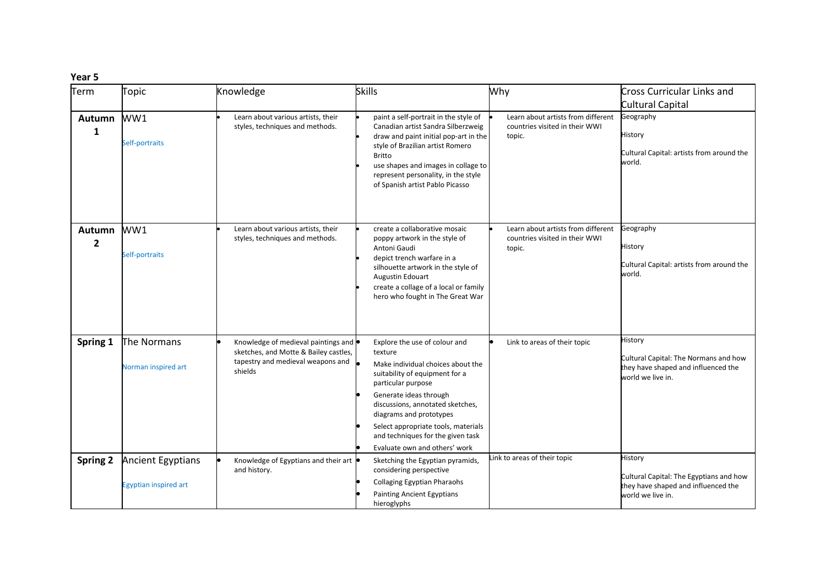| Term                     | Topic                                                    | Knowledge                                                                                                                              | <b>Skills</b>                                                                                                                                                                                                                                                                                                                               | Why                                                                            | Cross Curricular Links and                                                                                     |
|--------------------------|----------------------------------------------------------|----------------------------------------------------------------------------------------------------------------------------------------|---------------------------------------------------------------------------------------------------------------------------------------------------------------------------------------------------------------------------------------------------------------------------------------------------------------------------------------------|--------------------------------------------------------------------------------|----------------------------------------------------------------------------------------------------------------|
|                          |                                                          |                                                                                                                                        |                                                                                                                                                                                                                                                                                                                                             |                                                                                | Cultural Capital                                                                                               |
| Autumn<br>1              | WW1<br>Self-portraits                                    | Learn about various artists, their<br>styles, techniques and methods.                                                                  | paint a self-portrait in the style of<br>Canadian artist Sandra Silberzweig<br>draw and paint initial pop-art in the<br>style of Brazilian artist Romero<br><b>Britto</b><br>use shapes and images in collage to<br>represent personality, in the style<br>of Spanish artist Pablo Picasso                                                  | Learn about artists from different<br>countries visited in their WWI<br>topic. | Geography<br>History<br>Cultural Capital: artists from around the<br>world.                                    |
| Autumn<br>$\overline{2}$ | WW1<br>Self-portraits                                    | Learn about various artists, their<br>styles, techniques and methods.                                                                  | create a collaborative mosaic<br>poppy artwork in the style of<br>Antoni Gaudi<br>depict trench warfare in a<br>silhouette artwork in the style of<br>Augustin Edouart<br>create a collage of a local or family<br>hero who fought in The Great War                                                                                         | Learn about artists from different<br>countries visited in their WWI<br>topic. | Geography<br>History<br>Cultural Capital: artists from around the<br>world.                                    |
| Spring 1                 | The Normans<br>Norman inspired art                       | Knowledge of medieval paintings and $\bullet$<br>sketches, and Motte & Bailey castles,<br>tapestry and medieval weapons and<br>shields | Explore the use of colour and<br>texture<br>Make individual choices about the<br>suitability of equipment for a<br>particular purpose<br>Generate ideas through<br>discussions, annotated sketches,<br>diagrams and prototypes<br>Select appropriate tools, materials<br>and techniques for the given task<br>Evaluate own and others' work | Link to areas of their topic                                                   | History<br>Cultural Capital: The Normans and how<br>they have shaped and influenced the<br>world we live in.   |
| <b>Spring 2</b>          | <b>Ancient Egyptians</b><br><b>Egyptian inspired art</b> | Knowledge of Egyptians and their art<br>and history.                                                                                   | Sketching the Egyptian pyramids,<br>considering perspective<br><b>Collaging Egyptian Pharaohs</b><br><b>Painting Ancient Egyptians</b><br>hieroglyphs                                                                                                                                                                                       | Link to areas of their topic                                                   | History<br>Cultural Capital: The Egyptians and how<br>they have shaped and influenced the<br>world we live in. |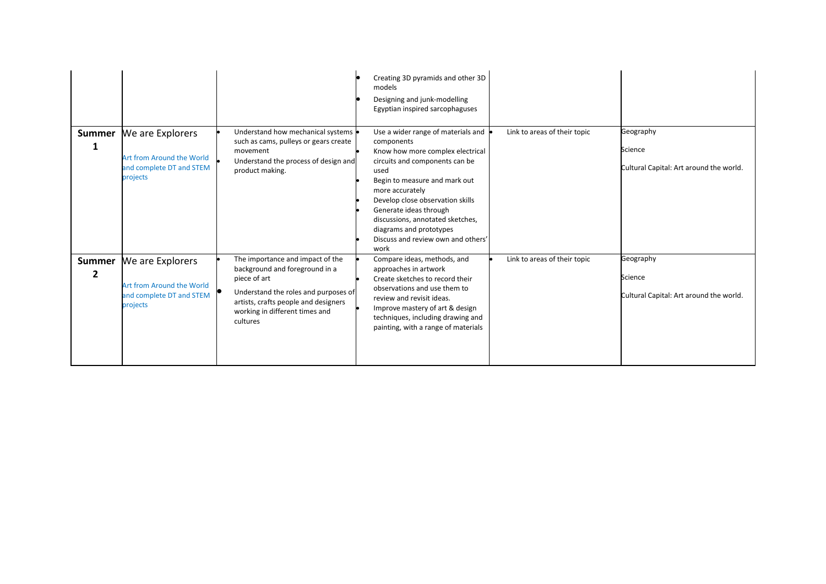|                                 |                                                                                       |                                                                                                                                                                                                                  | Creating 3D pyramids and other 3D<br>models<br>Designing and junk-modelling<br>Egyptian inspired sarcophaguses                                                                                                                                                                                                                                                |                              |                                                                 |
|---------------------------------|---------------------------------------------------------------------------------------|------------------------------------------------------------------------------------------------------------------------------------------------------------------------------------------------------------------|---------------------------------------------------------------------------------------------------------------------------------------------------------------------------------------------------------------------------------------------------------------------------------------------------------------------------------------------------------------|------------------------------|-----------------------------------------------------------------|
| Summer<br>1                     | We are Explorers<br>Art from Around the World<br>and complete DT and STEM<br>projects | Understand how mechanical systems<br>such as cams, pulleys or gears create<br>movement<br>Understand the process of design and<br>product making.                                                                | Use a wider range of materials and<br>components<br>Know how more complex electrical<br>circuits and components can be<br>used<br>Begin to measure and mark out<br>more accurately<br>Develop close observation skills<br>Generate ideas through<br>discussions, annotated sketches,<br>diagrams and prototypes<br>Discuss and review own and others'<br>work | Link to areas of their topic | Geography<br>Science<br>Cultural Capital: Art around the world. |
| <b>Summer</b><br>$\overline{2}$ | We are Explorers<br>Art from Around the World<br>and complete DT and STEM<br>projects | The importance and impact of the<br>background and foreground in a<br>piece of art<br>Understand the roles and purposes of<br>artists, crafts people and designers<br>working in different times and<br>cultures | Compare ideas, methods, and<br>approaches in artwork<br>Create sketches to record their<br>observations and use them to<br>review and revisit ideas.<br>Improve mastery of art & design<br>techniques, including drawing and<br>painting, with a range of materials                                                                                           | Link to areas of their topic | Geography<br>Science<br>Cultural Capital: Art around the world. |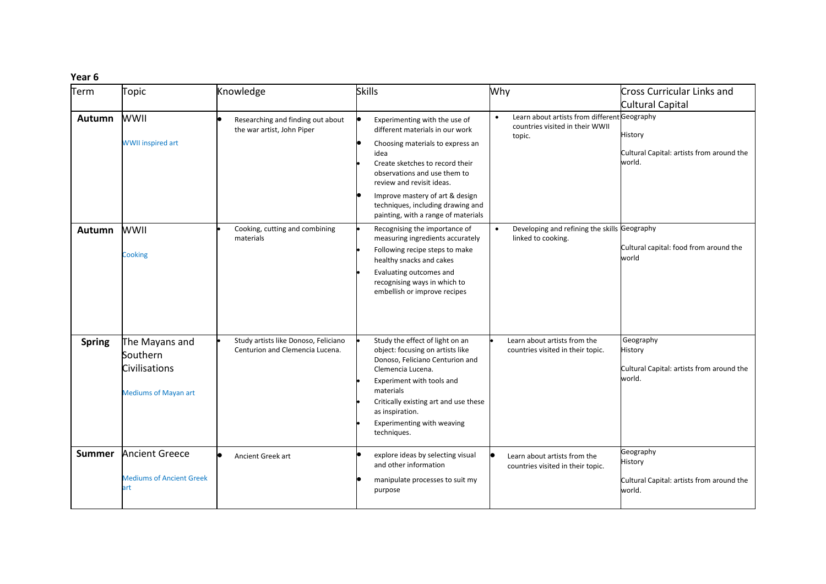| Term          | <b>Topic</b>                                                               | Knowledge                                                               | <b>Skills</b>                                                                                                                                                                                                                                                                                                               | Why                                                                                                    | <b>Cross Curricular Links and</b>                                                         |
|---------------|----------------------------------------------------------------------------|-------------------------------------------------------------------------|-----------------------------------------------------------------------------------------------------------------------------------------------------------------------------------------------------------------------------------------------------------------------------------------------------------------------------|--------------------------------------------------------------------------------------------------------|-------------------------------------------------------------------------------------------|
| <b>Autumn</b> | <b>WWII</b><br><b>WWII inspired art</b>                                    | Researching and finding out about<br>the war artist, John Piper         | Experimenting with the use of<br>different materials in our work<br>Choosing materials to express an<br>idea<br>Create sketches to record their<br>observations and use them to<br>review and revisit ideas.<br>Improve mastery of art & design<br>techniques, including drawing and<br>painting, with a range of materials | Learn about artists from different Geography<br>$\bullet$<br>countries visited in their WWII<br>topic. | <b>Cultural Capital</b><br>History<br>Cultural Capital: artists from around the<br>world. |
| <b>Autumn</b> | <b>WWII</b><br>Cooking                                                     | Cooking, cutting and combining<br>materials                             | Recognising the importance of<br>measuring ingredients accurately<br>Following recipe steps to make<br>healthy snacks and cakes<br>Evaluating outcomes and<br>recognising ways in which to<br>embellish or improve recipes                                                                                                  | Developing and refining the skills Geography<br>$\bullet$<br>linked to cooking.                        | Cultural capital: food from around the<br>world                                           |
| <b>Spring</b> | The Mayans and<br>Southern<br>Civilisations<br><b>Mediums of Mayan art</b> | Study artists like Donoso, Feliciano<br>Centurion and Clemencia Lucena. | Study the effect of light on an<br>object: focusing on artists like<br>Donoso, Feliciano Centurion and<br>Clemencia Lucena.<br>Experiment with tools and<br>materials<br>Critically existing art and use these<br>as inspiration.<br>Experimenting with weaving<br>techniques.                                              | Learn about artists from the<br>countries visited in their topic.                                      | Geography<br>History<br>Cultural Capital: artists from around the<br>world.               |
| <b>Summer</b> | <b>Ancient Greece</b><br><b>Mediums of Ancient Greek</b><br>art            | $\bullet$<br>Ancient Greek art                                          | explore ideas by selecting visual<br>and other information<br>manipulate processes to suit my<br>purpose                                                                                                                                                                                                                    | Learn about artists from the<br>countries visited in their topic.                                      | Geography<br>History<br>Cultural Capital: artists from around the<br>world.               |